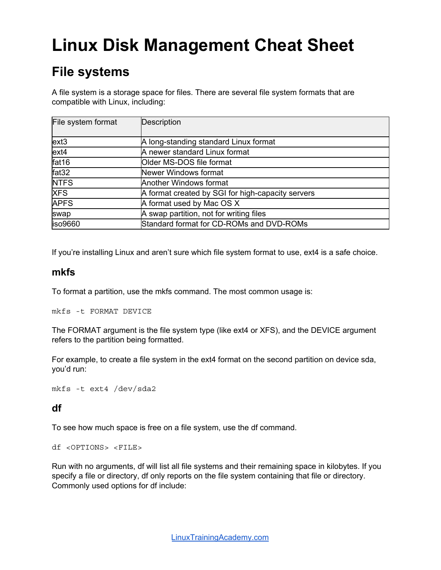# **Linux Disk Management Cheat Sheet**

### **File systems**

A file system is a storage space for files. There are several file system formats that are compatible with Linux, including:

| File system format | Description                                       |
|--------------------|---------------------------------------------------|
| $ext{3}$           | A long-standing standard Linux format             |
| $ext{4}$           | A newer standard Linux format                     |
| fat16              | Older MS-DOS file format                          |
| fat32              | Newer Windows format                              |
| <b>NTFS</b>        | Another Windows format                            |
| <b>XFS</b>         | A format created by SGI for high-capacity servers |
| <b>APFS</b>        | A format used by Mac OS X                         |
| swap               | A swap partition, not for writing files           |
| iso9660            | Standard format for CD-ROMs and DVD-ROMs          |

If you're installing Linux and aren't sure which file system format to use, ext4 is a safe choice.

#### **mkfs**

To format a partition, use the mkfs command. The most common usage is:

mkfs -t FORMAT DEVICE

The FORMAT argument is the file system type (like ext4 or XFS), and the DEVICE argument refers to the partition being formatted.

For example, to create a file system in the ext4 format on the second partition on device sda, you'd run:

mkfs -t ext4 /dev/sda2

#### **df**

To see how much space is free on a file system, use the df command.

df <OPTIONS> <FILE>

Run with no arguments, df will list all file systems and their remaining space in kilobytes. If you specify a file or directory, df only reports on the file system containing that file or directory. Commonly used options for df include: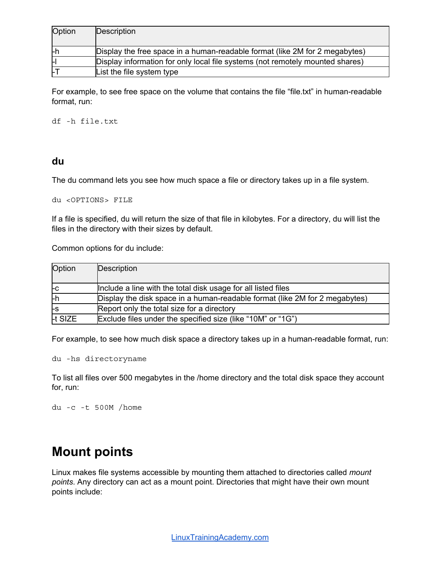| Option | Description                                                                   |
|--------|-------------------------------------------------------------------------------|
|        |                                                                               |
| ŀh     | Display the free space in a human-readable format (like 2M for 2 megabytes)   |
| н      | Display information for only local file systems (not remotely mounted shares) |
| ĿГ     | List the file system type                                                     |

For example, to see free space on the volume that contains the file "file.txt" in human-readable format, run:

df -h file.txt

#### **du**

The du command lets you see how much space a file or directory takes up in a file system.

du <OPTIONS> FILE

If a file is specified, du will return the size of that file in kilobytes. For a directory, du will list the files in the directory with their sizes by default.

Common options for du include:

| Option  | Description                                                                 |
|---------|-----------------------------------------------------------------------------|
|         |                                                                             |
| l-C     | Include a line with the total disk usage for all listed files               |
| ŀh      | Display the disk space in a human-readable format (like 2M for 2 megabytes) |
| l-s     | Report only the total size for a directory                                  |
| It SIZE | Exclude files under the specified size (like "10M" or "1G")                 |

For example, to see how much disk space a directory takes up in a human-readable format, run:

du -hs directoryname

To list all files over 500 megabytes in the /home directory and the total disk space they account for, run:

du -c -t 500M /home

### **Mount points**

Linux makes file systems accessible by mounting them attached to directories called *mount points*. Any directory can act as a mount point. Directories that might have their own mount points include: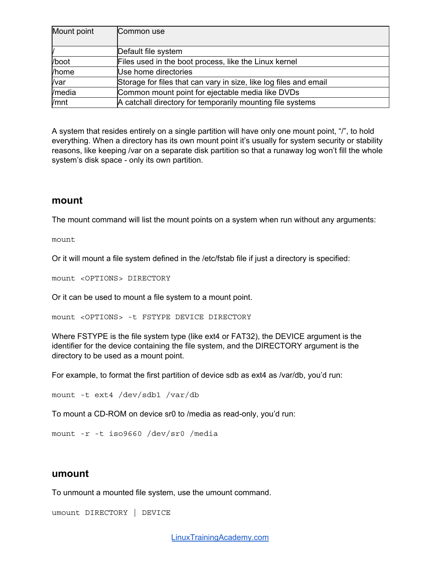| Mount point | Common use                                                        |
|-------------|-------------------------------------------------------------------|
|             |                                                                   |
|             | Default file system                                               |
| /boot       | Files used in the boot process, like the Linux kernel             |
| /home       | Use home directories                                              |
| /var        | Storage for files that can vary in size, like log files and email |
| /media      | Common mount point for ejectable media like DVDs                  |
| /mnt        | A catchall directory for temporarily mounting file systems        |

A system that resides entirely on a single partition will have only one mount point, "/", to hold everything. When a directory has its own mount point it's usually for system security or stability reasons, like keeping /var on a separate disk partition so that a runaway log won't fill the whole system's disk space - only its own partition.

#### **mount**

The mount command will list the mount points on a system when run without any arguments:

mount

Or it will mount a file system defined in the /etc/fstab file if just a directory is specified:

mount <OPTIONS> DIRECTORY

Or it can be used to mount a file system to a mount point.

mount <OPTIONS> -t FSTYPE DEVICE DIRECTORY

Where FSTYPE is the file system type (like ext4 or FAT32), the DEVICE argument is the identifier for the device containing the file system, and the DIRECTORY argument is the directory to be used as a mount point.

For example, to format the first partition of device sdb as ext4 as /var/db, you'd run:

```
mount -t ext4 /dev/sdb1 /var/db
```
To mount a CD-ROM on device sr0 to /media as read-only, you'd run:

```
mount -r -t iso9660 /dev/sr0 /media
```
#### **umount**

To unmount a mounted file system, use the umount command.

umount DIRECTORY | DEVICE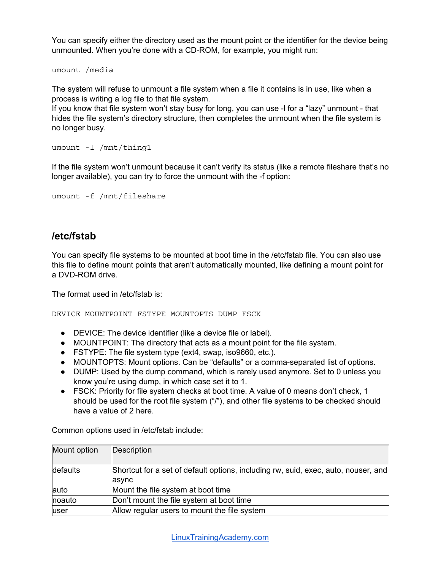You can specify either the directory used as the mount point or the identifier for the device being unmounted. When you're done with a CD-ROM, for example, you might run:

umount /media

The system will refuse to unmount a file system when a file it contains is in use, like when a process is writing a log file to that file system.

If you know that file system won't stay busy for long, you can use -l for a "lazy" unmount - that hides the file system's directory structure, then completes the unmount when the file system is no longer busy.

```
umount -l /mnt/thing1
```
If the file system won't unmount because it can't verify its status (like a remote fileshare that's no longer available), you can try to force the unmount with the -f option:

```
umount -f /mnt/fileshare
```
#### **/etc/fstab**

You can specify file systems to be mounted at boot time in the /etc/fstab file. You can also use this file to define mount points that aren't automatically mounted, like defining a mount point for a DVD-ROM drive.

The format used in /etc/fstab is:

DEVICE MOUNTPOINT FSTYPE MOUNTOPTS DUMP FSCK

- DEVICE: The device identifier (like a device file or label).
- MOUNTPOINT: The directory that acts as a mount point for the file system.
- FSTYPE: The file system type (ext4, swap, iso9660, etc.).
- MOUNTOPTS: Mount options. Can be "defaults" or a comma-separated list of options.
- DUMP: Used by the dump command, which is rarely used anymore. Set to 0 unless you know you're using dump, in which case set it to 1.
- FSCK: Priority for file system checks at boot time. A value of 0 means don't check, 1 should be used for the root file system ("/"), and other file systems to be checked should have a value of 2 here.

Common options used in /etc/fstab include:

| Mount option | Description                                                                        |
|--------------|------------------------------------------------------------------------------------|
| defaults     | Shortcut for a set of default options, including rw, suid, exec, auto, nouser, and |
|              | <b>async</b>                                                                       |
| auto         | Mount the file system at boot time                                                 |
| noauto       | Don't mount the file system at boot time                                           |
| user         | Allow regular users to mount the file system                                       |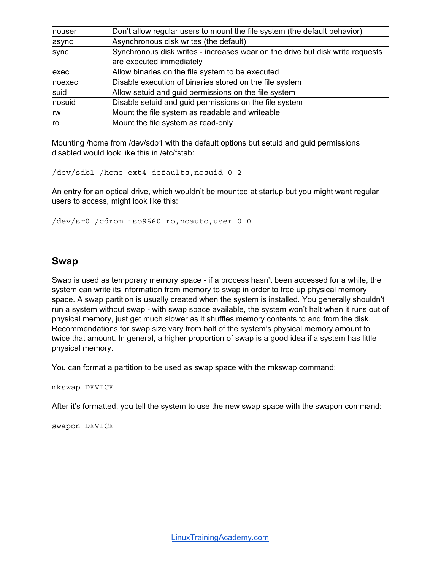| nouser     | Don't allow regular users to mount the file system (the default behavior)     |
|------------|-------------------------------------------------------------------------------|
| async      | Asynchronous disk writes (the default)                                        |
| sync       | Synchronous disk writes - increases wear on the drive but disk write requests |
|            | are executed immediately                                                      |
| exec       | Allow binaries on the file system to be executed                              |
| noexec     | Disable execution of binaries stored on the file system                       |
| suid       | Allow setuid and guid permissions on the file system                          |
| nosuid     | Disable setuid and guid permissions on the file system                        |
| <b>Irw</b> | Mount the file system as readable and writeable                               |
| ro         | Mount the file system as read-only                                            |

Mounting /home from /dev/sdb1 with the default options but setuid and guid permissions disabled would look like this in /etc/fstab:

/dev/sdb1 /home ext4 defaults,nosuid 0 2

An entry for an optical drive, which wouldn't be mounted at startup but you might want regular users to access, might look like this:

/dev/sr0 /cdrom iso9660 ro,noauto,user 0 0

#### **Swap**

Swap is used as temporary memory space - if a process hasn't been accessed for a while, the system can write its information from memory to swap in order to free up physical memory space. A swap partition is usually created when the system is installed. You generally shouldn't run a system without swap - with swap space available, the system won't halt when it runs out of physical memory, just get much slower as it shuffles memory contents to and from the disk. Recommendations for swap size vary from half of the system's physical memory amount to twice that amount. In general, a higher proportion of swap is a good idea if a system has little physical memory.

You can format a partition to be used as swap space with the mkswap command:

mkswap DEVICE

After it's formatted, you tell the system to use the new swap space with the swapon command:

swapon DEVICE